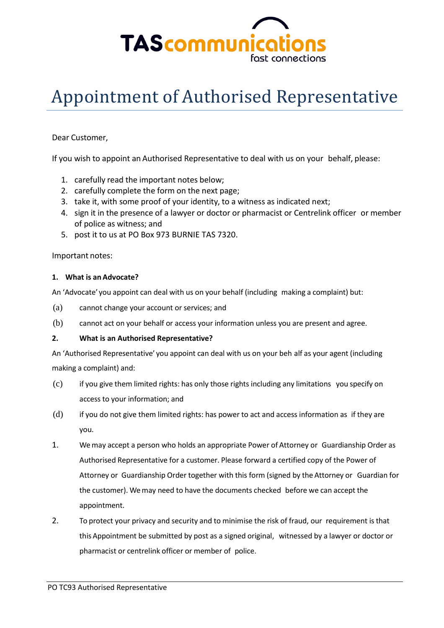

# Appointment of Authorised Representative

### Dear Customer,

If you wish to appoint an Authorised Representative to deal with us on your behalf, please:

- 1. carefully read the important notes below;
- 2. carefully complete the form on the next page;
- 3. take it, with some proof of your identity, to a witness as indicated next;
- 4. sign it in the presence of a lawyer or doctor or pharmacist or Centrelink officer or member of police as witness; and
- 5. post it to us at PO Box 973 BURNIE TAS 7320.

#### Important notes:

#### **1. What is an Advocate?**

An 'Advocate' you appoint can deal with us on your behalf (including making a complaint) but:

- (a) cannot change your account or services; and
- (b) cannot act on your behalf or access your information unless you are present and agree.

#### **2. What is an Authorised Representative?**

An 'Authorised Representative' you appoint can deal with us on your beh alf as your agent (including making a complaint) and:

- (c) if you give them limited rights: has only those rights including any limitations you specify on access to your information; and
- (d) if you do not give them limited rights: has power to act and access information as if they are you.
- 1. Wemay accept a person who holds an appropriate Power of Attorney or Guardianship Order as Authorised Representative for a customer. Please forward a certified copy of the Power of Attorney or Guardianship Order together with this form (signed by the Attorney or Guardian for the customer). Wemay need to have the documents checked before we can accept the appointment.
- 2. To protect your privacy and security and to minimise the risk of fraud, our requirement is that this Appointment be submitted by post as a signed original, witnessed by a lawyer or doctor or pharmacist or centrelink officer or member of police.